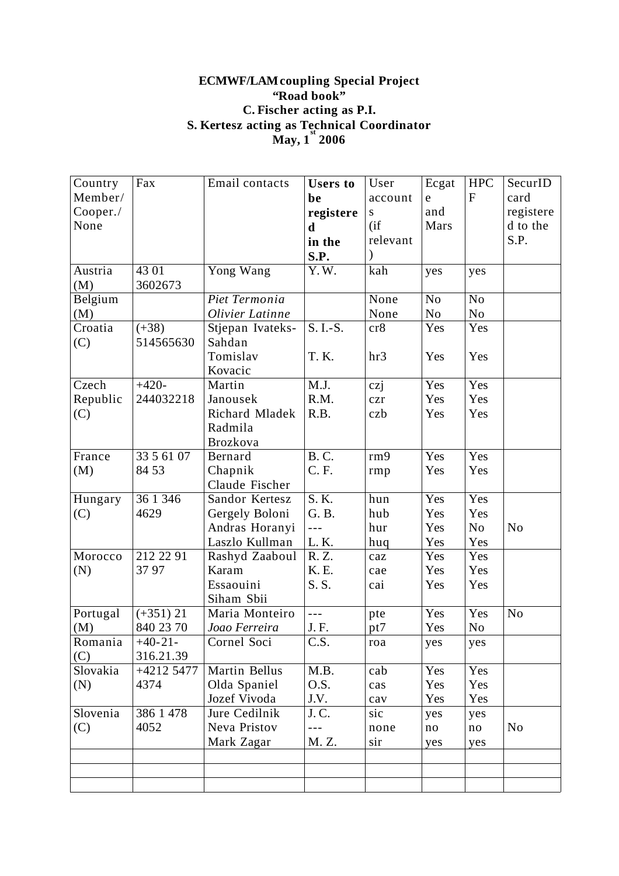## **ECMWF/LAMcoupling Special Project "Road book" C. Fischer acting as P.I. S. Kertesz acting as Technical Coordinator May, 1 st 2006**

| Country  | Fax         | Email contacts   | <b>Users</b> to  | User        | Ecgat          | <b>HPC</b>     | SecurID        |
|----------|-------------|------------------|------------------|-------------|----------------|----------------|----------------|
| Member/  |             |                  | be               | account     | $\mathbf e$    | $\mathbf{F}$   | card           |
| Cooper./ |             |                  | registere        | S           | and            |                | registere      |
| None     |             |                  | $\mathbf d$      | (i f)       | Mars           |                | d to the       |
|          |             |                  | in the           | relevant    |                |                | S.P.           |
|          |             |                  | S.P.             |             |                |                |                |
| Austria  | 43 01       | Yong Wang        | Y.W.             | kah         | yes            | yes            |                |
| (M)      | 3602673     |                  |                  |             |                |                |                |
| Belgium  |             | Piet Termonia    |                  | None        | N <sub>o</sub> | N <sub>o</sub> |                |
| (M)      |             | Olivier Latinne  |                  | None        | No             | N <sub>o</sub> |                |
| Croatia  | $(+38)$     | Stjepan Ivateks- | S. I.-S.         | cr8         | Yes            | Yes            |                |
| (C)      | 514565630   | Sahdan           |                  |             |                |                |                |
|          |             | Tomislav         | T. K.            | hr3         | Yes            | Yes            |                |
|          |             | Kovacic          |                  |             |                |                |                |
| Czech    | $+420-$     | Martin           | M.J.             | czi         | Yes            | Yes            |                |
| Republic | 244032218   | Janousek         | R.M.             | $c\bar{z}r$ | Yes            | Yes            |                |
| (C)      |             | Richard Mladek   | R.B.             | czb         | Yes            | Yes            |                |
|          |             | Radmila          |                  |             |                |                |                |
|          |             | <b>Brozkova</b>  |                  |             |                |                |                |
| France   | 33 5 61 07  | Bernard          | <b>B.C.</b>      | rm9         | Yes            | Yes            |                |
| (M)      | 84 53       | Chapnik          | C. F.            | rmp         | Yes            | Yes            |                |
|          |             | Claude Fischer   |                  |             |                |                |                |
| Hungary  | 36 1 346    | Sandor Kertesz   | S. K.            | hun         | Yes            | Yes            |                |
| (C)      | 4629        | Gergely Boloni   | G. B.            | hub         | Yes            | Yes            |                |
|          |             | Andras Horanyi   | $ -$             | hur         | Yes            | No             | N <sub>o</sub> |
|          |             | Laszlo Kullman   | L.K.             | huq         | Yes            | Yes            |                |
| Morocco  | 212 22 91   | Rashyd Zaaboul   | R.Z.             | caz         | Yes            | Yes            |                |
| (N)      | 3797        | Karam            | K. E.            | cae         | Yes            | Yes            |                |
|          |             | Essaouini        | S.S.             | cai         | Yes            | Yes            |                |
|          |             | Siham Sbii       |                  |             |                |                |                |
| Portugal | $(+351)$ 21 | Maria Monteiro   | $- - -$          | pte         | Yes            | Yes            | N <sub>o</sub> |
| (M)      | 840 23 70   | Joao Ferreira    | J.F.             | pt7         | Yes            | No             |                |
| Romania  | $+40-21-$   | Cornel Soci      | C.S.             | roa         | yes            | yes            |                |
| (C)      | 316.21.39   |                  |                  |             |                |                |                |
| Slovakia | $+42125477$ | Martin Bellus    | M.B.             | cab         | Yes            | Yes            |                |
| (N)      | 4374        | Olda Spaniel     | O.S.             | cas         | Yes            | Yes            |                |
|          |             | Jozef Vivoda     | J.V.             | cav         | Yes            | Yes            |                |
| Slovenia | 386 1 478   | Jure Cedilnik    | J.C.             | sic         | yes            | yes            |                |
| (C)      | 4052        | Neva Pristov     | $- - -$<br>M. Z. | none        | no             | no             | N <sub>0</sub> |
|          |             | Mark Zagar       |                  | sir         | yes            | yes            |                |
|          |             |                  |                  |             |                |                |                |
|          |             |                  |                  |             |                |                |                |
|          |             |                  |                  |             |                |                |                |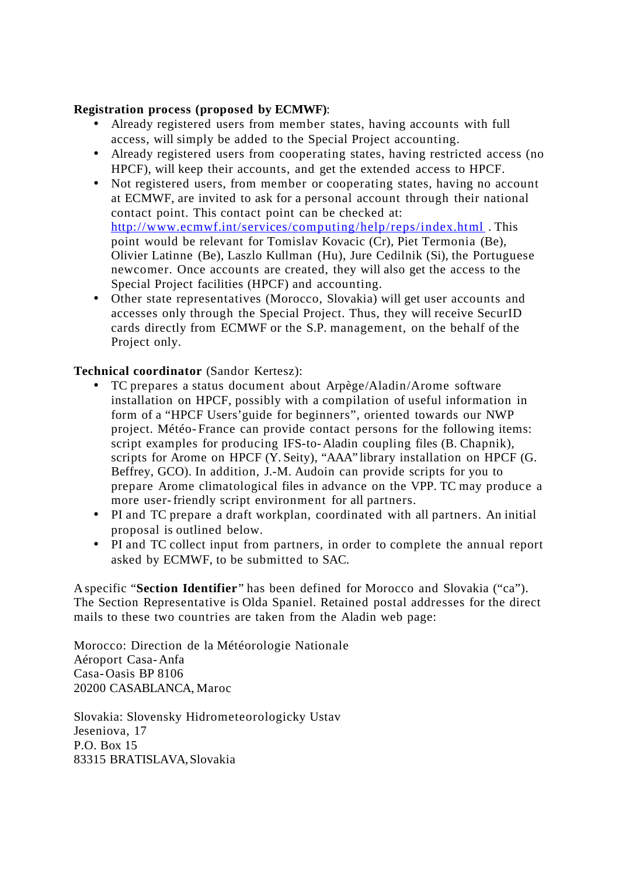## **Registration process (proposed by ECMWF)**:

- Already registered users from member states, having accounts with full access, will simply be added to the Special Project accounting.
- Already registered users from cooperating states, having restricted access (no HPCF), will keep their accounts, and get the extended access to HPCF.
- Not registered users, from member or cooperating states, having no account at ECMWF, are invited to ask for a personal account through their national contact point. This contact point can be checked at: http://www.ecmwf.int/services/computing/help/reps/index.html . This point would be relevant for Tomislav Kovacic (Cr), Piet Termonia (Be), Olivier Latinne (Be), Laszlo Kullman (Hu), Jure Cedilnik (Si), the Portuguese newcomer. Once accounts are created, they will also get the access to the Special Project facilities (HPCF) and accounting.
- Other state representatives (Morocco, Slovakia) will get user accounts and accesses only through the Special Project. Thus, they will receive SecurID cards directly from ECMWF or the S.P. management, on the behalf of the Project only.

## **Technical coordinator** (Sandor Kertesz):

- TC prepares a status document about Arpège/Aladin/Arome software installation on HPCF, possibly with a compilation of useful information in form of a "HPCF Users'guide for beginners", oriented towards our NWP project. Météo- France can provide contact persons for the following items: script examples for producing IFS-to-Aladin coupling files (B. Chapnik), scripts for Arome on HPCF (Y. Seity), "AAA" library installation on HPCF (G. Beffrey, GCO). In addition, J.-M. Audoin can provide scripts for you to prepare Arome climatological files in advance on the VPP. TC may produce a more user-friendly script environment for all partners.
- PI and TC prepare a draft workplan, coordinated with all partners. An initial proposal is outlined below.
- PI and TC collect input from partners, in order to complete the annual report asked by ECMWF, to be submitted to SAC.

A specific "**Section Identifier**" has been defined for Morocco and Slovakia ("ca"). The Section Representative is Olda Spaniel. Retained postal addresses for the direct mails to these two countries are taken from the Aladin web page:

Morocco: Direction de la Météorologie Nationale Aéroport Casa-Anfa Casa-Oasis BP 8106 20200 CASABLANCA, Maroc

Slovakia: Slovensky Hidrometeorologicky Ustav Jeseniova, 17 P.O. Box 15 83315 BRATISLAVA,Slovakia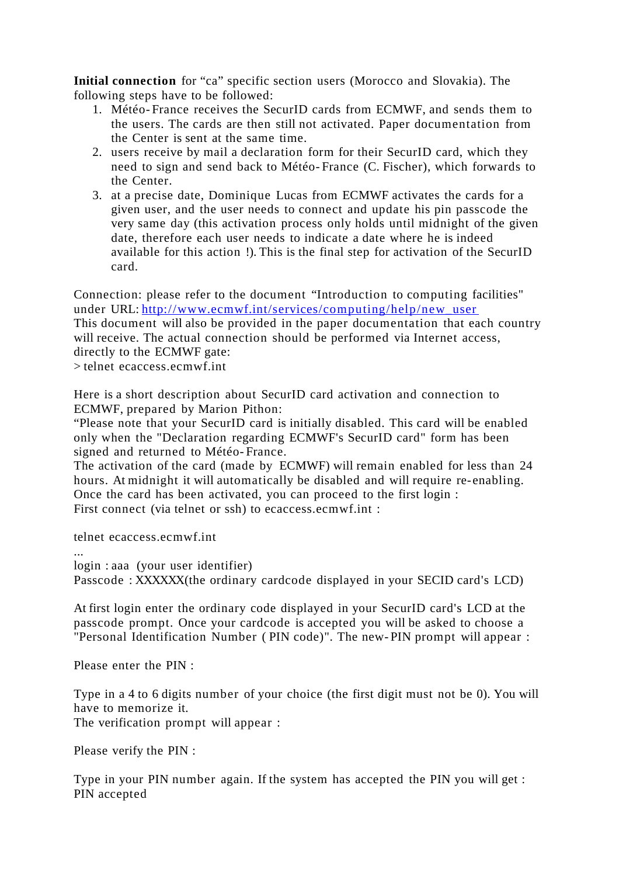**Initial connection** for "ca" specific section users (Morocco and Slovakia). The following steps have to be followed:

- 1. Météo- France receives the SecurID cards from ECMWF, and sends them to the users. The cards are then still not activated. Paper documentation from the Center is sent at the same time.
- 2. users receive by mail a declaration form for their SecurID card, which they need to sign and send back to Météo- France (C. Fischer), which forwards to the Center.
- 3. at a precise date, Dominique Lucas from ECMWF activates the cards for a given user, and the user needs to connect and update his pin passcode the very same day (this activation process only holds until midnight of the given date, therefore each user needs to indicate a date where he is indeed available for this action !). This is the final step for activation of the SecurID card.

Connection: please refer to the document "Introduction to computing facilities" under URL: http://www.ecmwf.int/services/computing/help/new\_user This document will also be provided in the paper documentation that each country will receive. The actual connection should be performed via Internet access, directly to the ECMWF gate:

> telnet ecaccess.ecmwf.int

Here is a short description about SecurID card activation and connection to ECMWF, prepared by Marion Pithon:

"Please note that your SecurID card is initially disabled. This card will be enabled only when the "Declaration regarding ECMWF's SecurID card" form has been signed and returned to Météo- France.

The activation of the card (made by ECMWF) will remain enabled for less than 24 hours. At midnight it will automatically be disabled and will require re-enabling. Once the card has been activated, you can proceed to the first login : First connect (via telnet or ssh) to ecaccess.ecmwf.int :

telnet ecaccess.ecmwf.int

...

login : aaa (your user identifier)

Passcode : XXXXXX(the ordinary cardcode displayed in your SECID card's LCD)

At first login enter the ordinary code displayed in your SecurID card's LCD at the passcode prompt. Once your cardcode is accepted you will be asked to choose a "Personal Identification Number ( PIN code)". The new- PIN prompt will appear :

Please enter the PIN :

Type in a 4 to 6 digits number of your choice (the first digit must not be 0). You will have to memorize it.

The verification prompt will appear :

Please verify the PIN :

Type in your PIN number again. If the system has accepted the PIN you will get : PIN accepted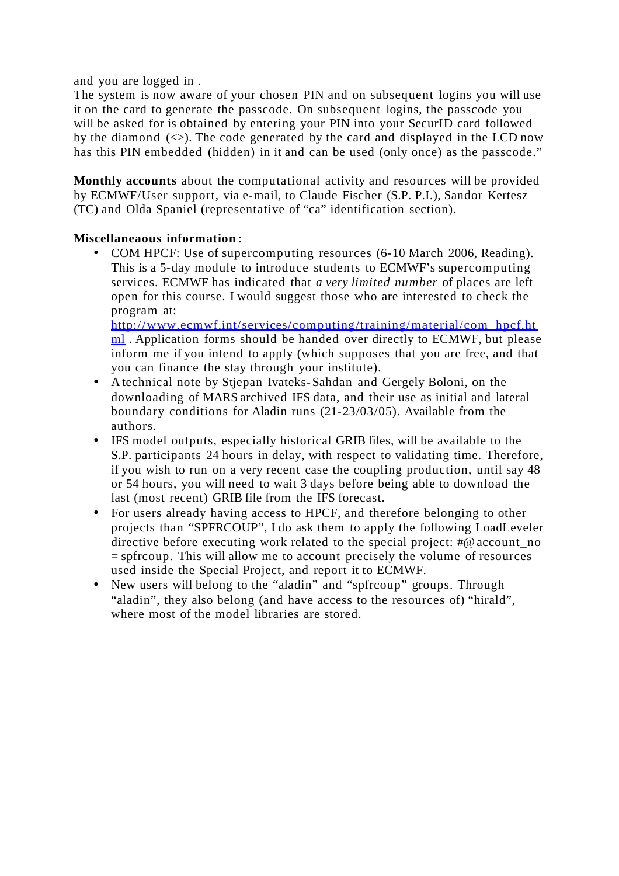and you are logged in .

The system is now aware of your chosen PIN and on subsequent logins you will use it on the card to generate the passcode. On subsequent logins, the passcode you will be asked for is obtained by entering your PIN into your SecurID card followed by the diamond  $(\le)$ . The code generated by the card and displayed in the LCD now has this PIN embedded (hidden) in it and can be used (only once) as the passcode."

**Monthly accounts** about the computational activity and resources will be provided by ECMWF/User support, via e-mail, to Claude Fischer (S.P. P.I.), Sandor Kertesz (TC) and Olda Spaniel (representative of "ca" identification section).

# **Miscellaneaous information** :

• COM HPCF: Use of supercomputing resources (6-10 March 2006, Reading). This is a 5-day module to introduce students to ECMWF's supercomputing services. ECMWF has indicated that *a very limited number* of places are left open for this course. I would suggest those who are interested to check the program at:

http://www.ecmwf.int/services/computing/training/material/com\_hpcf.ht ml . Application forms should be handed over directly to ECMWF, but please inform me if you intend to apply (which supposes that you are free, and that you can finance the stay through your institute).

- A technical note by Stjepan Ivateks- Sahdan and Gergely Boloni, on the downloading of MARS archived IFS data, and their use as initial and lateral boundary conditions for Aladin runs (21-23/03/05). Available from the authors.
- IFS model outputs, especially historical GRIB files, will be available to the S.P. participants 24 hours in delay, with respect to validating time. Therefore, if you wish to run on a very recent case the coupling production, until say 48 or 54 hours, you will need to wait 3 days before being able to download the last (most recent) GRIB file from the IFS forecast.
- For users already having access to HPCF, and therefore belonging to other projects than "SPFRCOUP", I do ask them to apply the following LoadLeveler directive before executing work related to the special project: #@ account\_no = spfrcoup. This will allow me to account precisely the volume of resources used inside the Special Project, and report it to ECMWF.
- New users will belong to the "aladin" and "spfrcoup" groups. Through "aladin", they also belong (and have access to the resources of) "hirald", where most of the model libraries are stored.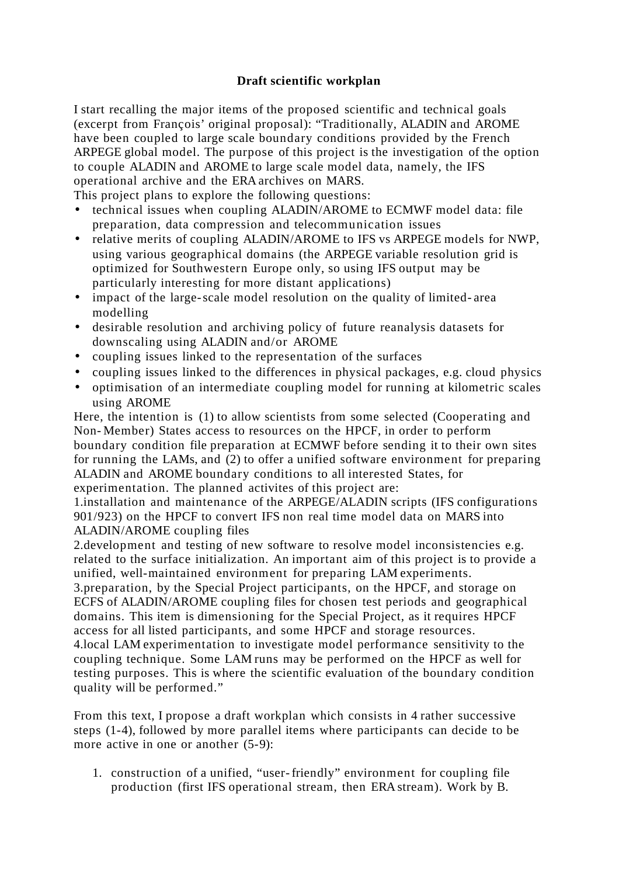# **Draft scientific workplan**

I start recalling the major items of the proposed scientific and technical goals (excerpt from François' original proposal): "Traditionally, ALADIN and AROME have been coupled to large scale boundary conditions provided by the French ARPEGE global model. The purpose of this project is the investigation of the option to couple ALADIN and AROME to large scale model data, namely, the IFS operational archive and the ERA archives on MARS.

This project plans to explore the following questions:

- technical issues when coupling ALADIN/AROME to ECMWF model data: file preparation, data compression and telecommunication issues
- relative merits of coupling ALADIN/AROME to IFS vs ARPEGE models for NWP, using various geographical domains (the ARPEGE variable resolution grid is optimized for Southwestern Europe only, so using IFS output may be particularly interesting for more distant applications)
- impact of the large-scale model resolution on the quality of limited-area modelling
- desirable resolution and archiving policy of future reanalysis datasets for downscaling using ALADIN and/or AROME
- coupling issues linked to the representation of the surfaces
- coupling issues linked to the differences in physical packages, e.g. cloud physics
- optimisation of an intermediate coupling model for running at kilometric scales using AROME

Here, the intention is (1) to allow scientists from some selected (Cooperating and Non- Member) States access to resources on the HPCF, in order to perform boundary condition file preparation at ECMWF before sending it to their own sites for running the LAMs, and (2) to offer a unified software environment for preparing ALADIN and AROME boundary conditions to all interested States, for experimentation. The planned activites of this project are:

1.installation and maintenance of the ARPEGE/ALADIN scripts (IFS configurations 901/923) on the HPCF to convert IFS non real time model data on MARS into ALADIN/AROME coupling files

2.development and testing of new software to resolve model inconsistencies e.g. related to the surface initialization. An important aim of this project is to provide a unified, well-maintained environment for preparing LAM experiments.

3.preparation, by the Special Project participants, on the HPCF, and storage on ECFS of ALADIN/AROME coupling files for chosen test periods and geographical domains. This item is dimensioning for the Special Project, as it requires HPCF access for all listed participants, and some HPCF and storage resources.

4.local LAM experimentation to investigate model performance sensitivity to the coupling technique. Some LAM runs may be performed on the HPCF as well for testing purposes. This is where the scientific evaluation of the boundary condition quality will be performed."

From this text, I propose a draft workplan which consists in 4 rather successive steps (1-4), followed by more parallel items where participants can decide to be more active in one or another  $(5-9)$ :

1. construction of a unified, "user-friendly" environment for coupling file production (first IFS operational stream, then ERA stream). Work by B.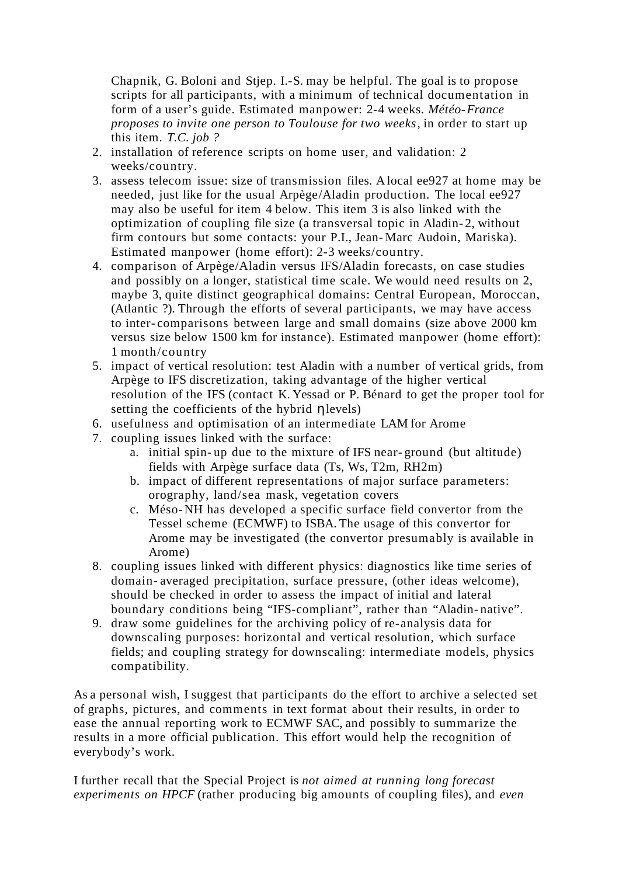Chapnik, G. Boloni and Stjep. I.-S. may be helpful. The goal is to propose scripts for all participants, with a minimum of technical documentation in form of a user's guide. Estimated manpower: 2-4 weeks. *Météo-France proposes to invite one person to Toulouse for two weeks*, in order to start up this item. *T.C. job ?*

- 2. installation of reference scripts on home user, and validation: 2 weeks/country.
- 3. assess telecom issue: size of transmission files. A local ee927 at home may be needed, just like for the usual Arpège/Aladin production. The local ee927 may also be useful for item 4 below. This item 3 is also linked with the optimization of coupling file size (a transversal topic in Aladin- 2, without firm contours but some contacts: your P.I., Jean- Marc Audoin, Mariska). Estimated manpower (home effort): 2-3 weeks/country.
- 4. comparison of Arpège/Aladin versus IFS/Aladin forecasts, on case studies and possibly on a longer, statistical time scale. We would need results on 2, maybe 3, quite distinct geographical domains: Central European, Moroccan, (Atlantic ?). Through the efforts of several participants, we may have access to inter- comparisons between large and small domains (size above 2000 km versus size below 1500 km for instance). Estimated manpower (home effort): 1 month/country
- 5. impact of vertical resolution: test Aladin with a number of vertical grids, from Arpège to IFS discretization, taking advantage of the higher vertical resolution of the IFS (contact K. Yessad or P. Bénard to get the proper tool for setting the coefficients of the hybrid ηlevels)
- 6. usefulness and optimisation of an intermediate LAM for Arome
- 7. coupling issues linked with the surface:
	- a. initial spin- up due to the mixture of IFS near- ground (but altitude) fields with Arpège surface data (Ts, Ws, T2m, RH2m)
	- b. impact of different representations of major surface parameters: orography, land/sea mask, vegetation covers
	- c. Méso- NH has developed a specific surface field convertor from the Tessel scheme (ECMWF) to ISBA. The usage of this convertor for Arome may be investigated (the convertor presumably is available in Arome)
- 8. coupling issues linked with different physics: diagnostics like time series of domain- averaged precipitation, surface pressure, (other ideas welcome), should be checked in order to assess the impact of initial and lateral boundary conditions being "IFS-compliant", rather than "Aladin- native".
- 9. draw some guidelines for the archiving policy of re-analysis data for downscaling purposes: horizontal and vertical resolution, which surface fields; and coupling strategy for downscaling: intermediate models, physics compatibility.

As a personal wish, I suggest that participants do the effort to archive a selected set of graphs, pictures, and comments in text format about their results, in order to ease the annual reporting work to ECMWF SAC, and possibly to summarize the results in a more official publication. This effort would help the recognition of everybody's work.

I further recall that the Special Project is *not aimed at running long forecast experiments on HPCF* (rather producing big amounts of coupling files), and *even*